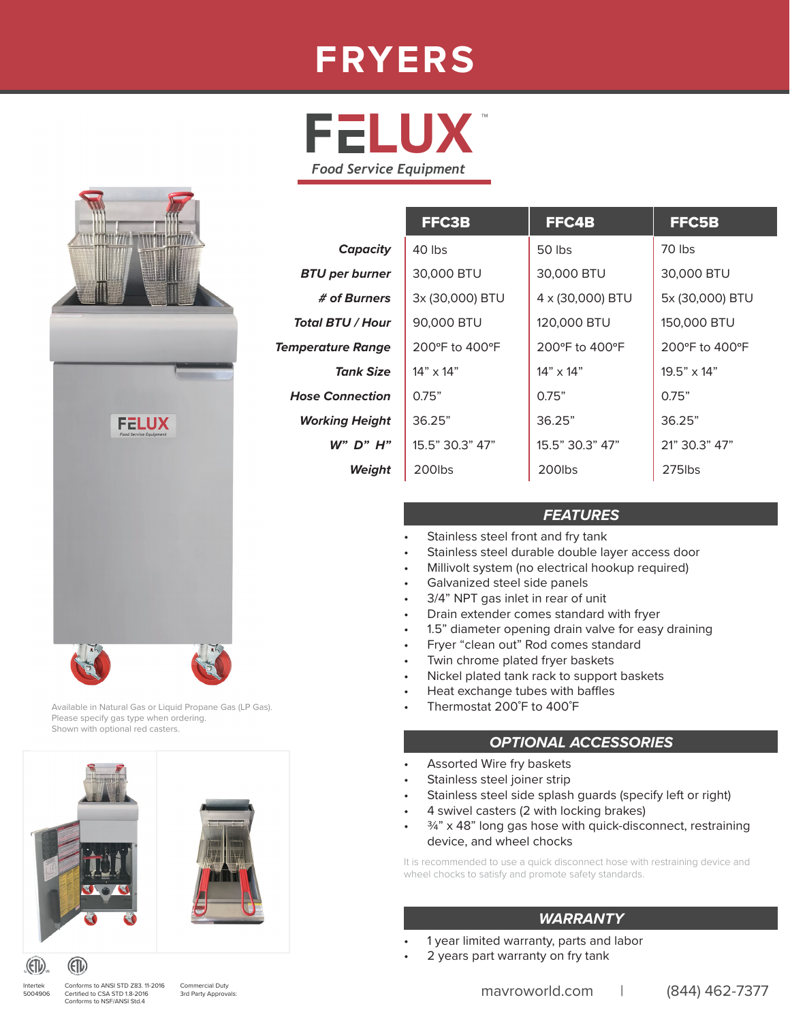# **FRYERS**





#### *FEATURES*

- Stainless steel front and fry tank
- Stainless steel durable double layer access door
- Millivolt system (no electrical hookup required)
- Galvanized steel side panels
- 3/4" NPT gas inlet in rear of unit
- Drain extender comes standard with fryer
- 1.5" diameter opening drain valve for easy draining
- Fryer "clean out" Rod comes standard
- Twin chrome plated fryer baskets
- Nickel plated tank rack to support baskets
- Heat exchange tubes with baffles
- Thermostat 200˚F to 400˚F

#### *OPTIONAL ACCESSORIES*

- Assorted Wire fry baskets
- Stainless steel joiner strip
- Stainless steel side splash quards (specify left or right)
- 4 swivel casters (2 with locking brakes)
- $34$ " x 48" long gas hose with quick-disconnect, restraining device, and wheel chocks

It is recommended to use a quick disconnect hose with restraining device and wheel chocks to satisfy and promote safety standards.

#### *WARRANTY*

- 1 year limited warranty, parts and labor
- 2 years part warranty on fry tank



Available in Natural Gas or Liquid Propane Gas (LP Gas). Please specify gas type when ordering. Shown with optional red casters.



(ETL)

Intertek 5004906



Conforms to ANSI STD Z83. 11-2016 Certified to CSA STD 1.8-2016 Conforms to NSF/ANSI Std.4

Commercial Duty<br>3rd Party Approvals